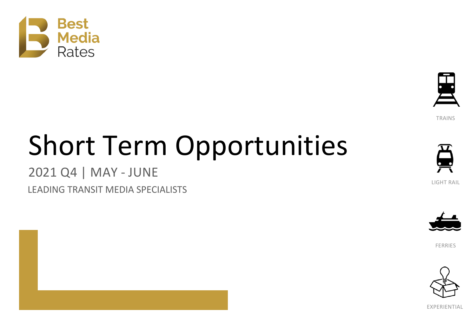



**TRAINS** 

# Short Term Opportunities

### 2021 Q4 | MAY - JUNE

LEADING TRANSIT MEDIA SPECIALISTS



LIGHT RAIL



FERRIES



EXPERIENTIAL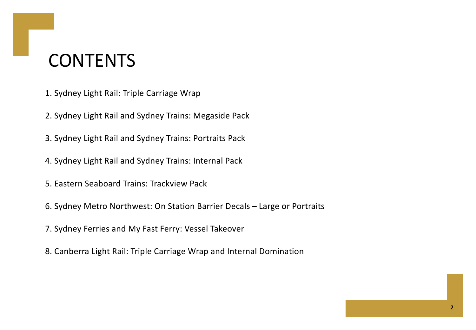### **CONTENTS**

- 1. Sydney Light Rail: Triple Carriage Wrap
- 2. Sydney Light Rail and Sydney Trains: Megaside Pack
- 3. Sydney Light Rail and Sydney Trains: Portraits Pack
- 4. Sydney Light Rail and Sydney Trains: Internal Pack
- 5. Eastern Seaboard Trains: Trackview Pack
- 6. Sydney Metro Northwest: On Station Barrier Decals Large or Portraits
- 7. Sydney Ferries and My Fast Ferry: Vessel Takeover
- 8. Canberra Light Rail: Triple Carriage Wrap and Internal Domination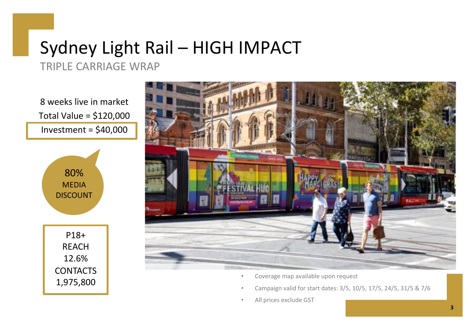### Sydney Light Rail – HIGH IMPACT

TRIPLE CARRIAGE WRAP

8 weeks live in market Total Value = \$120,000 Investment =  $$40,000$ 



P18+ REACH 12.6% **CONTACTS** 1,975,800



- Coverage map available upon request
- Campaign valid for start dates: 3/5, 10/5, 17/5, 24/5, 31/5 & 7/6
- All prices exclude GST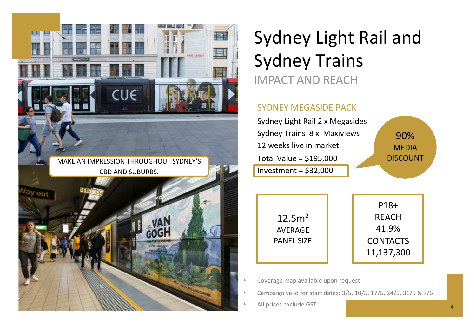

### Sydney Light Rail and Sydney Trains IMPACT AND REACH

#### SYDNEY MEGASIDE PACK

| Sydney Light Rail 2 x Megasides |                 |
|---------------------------------|-----------------|
| Sydney Trains 8 x Maxiviews     | 90%             |
| 12 weeks live in market         | <b>MEDIA</b>    |
| Total Value = $$195,000$        | <b>DISCOUNT</b> |
| Investment = $$32,000$          |                 |
|                                 |                 |



P18+ REACH 41.9% **CONTACTS** 11,137,300

• Coverage map available upon request

- Campaign valid for start dates: 3/5, 10/5, 17/5, 24/5, 31/5 & 7/6
- All prices exclude GST **<sup>4</sup>**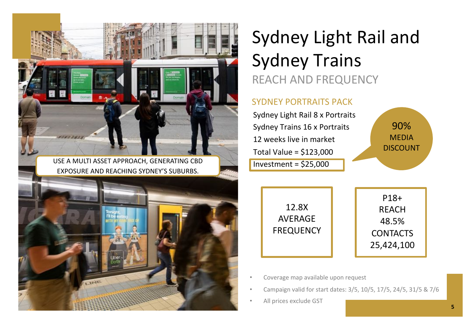

### Sydney Light Rail and Sydney Trains REACH AND FREQUENCY

#### SYDNEY PORTRAITS PACK

Sydney Light Rail 8 x Portraits Sydney Trains 16 x Portraits 12 weeks live in market Total Value = \$123,000 Investment = \$25,000

> 12.8X AVERAGE FREQUENCY

P18+ **RFACH** 48.5% **CONTACTS** 25,424,100

90% MEDIA DISCOUNT

- Coverage map available upon request
- Campaign valid for start dates: 3/5, 10/5, 17/5, 24/5, 31/5 & 7/6
- All prices exclude GST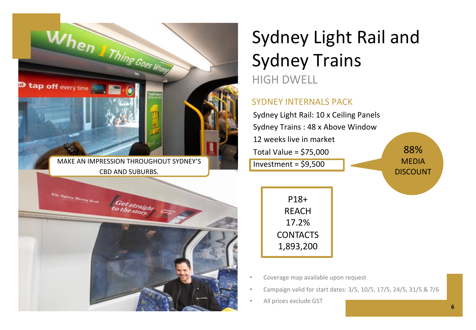

### Sydney Light Rail and Sydney Trains HIGH DWELL

#### SYDNEY INTERNALS PACK

Sydney Light Rail: 10 x Ceiling Panels Sydney Trains : 48 x Above Window 12 weeks live in market Total Value = \$75,000 Investment = \$9,500 88% MEDIA DISCOUNT

P18+ REACH 17.2% CONTACTS 1,893,200

- Coverage map available upon request
- Campaign valid for start dates: 3/5, 10/5, 17/5, 24/5, 31/5 & 7/6
- All prices exclude GST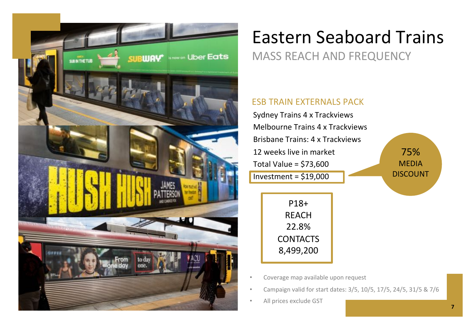

## Eastern Seaboard Trains

### MASS REACH AND FREQUENCY

#### ESB TRAIN EXTERNALS PACK

Sydney Trains 4 x Trackviews Melbourne Trains 4 x Trackviews Brisbane Trains: 4 x Trackviews 12 weeks live in market Total Value = \$73,600 Investment = \$19,000 75% MEDIA DISCOUNT P18+ **RFACH** 22.8% **CONTACTS** 8,499,200

- Coverage map available upon request
- Campaign valid for start dates: 3/5, 10/5, 17/5, 24/5, 31/5 & 7/6
- All prices exclude GST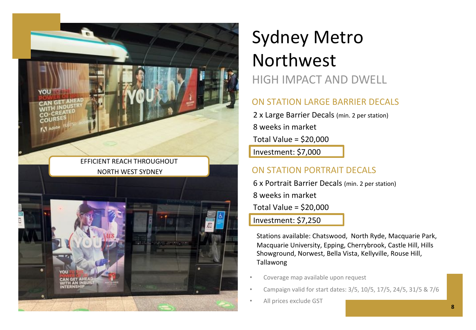

### Sydney Metro Northwest HIGH IMPACT AND DWELL

#### ON STATION LARGE BARRIER DECALS

2 x Large Barrier Decals (min. 2 per station) 8 weeks in market Total Value = \$20,000

Investment: \$7,000

6 x Portrait Barrier Decals (min. 2 per station) 8 weeks in market Total Value = \$20,000

Investment: \$7,250

Stations available: Chatswood, North Ryde, Macquarie Park, Macquarie University, Epping, Cherrybrook, Castle Hill, Hills Showground, Norwest, Bella Vista, Kellyville, Rouse Hill, Tallawong

- Coverage map available upon request
- Campaign valid for start dates: 3/5, 10/5, 17/5, 24/5, 31/5 & 7/6
- All prices exclude GST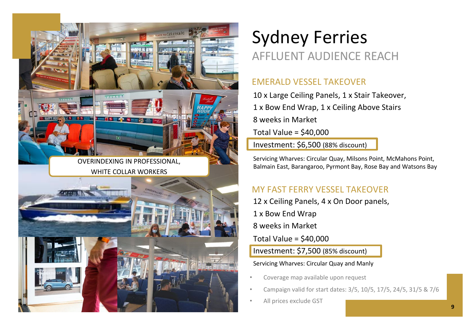

### Sydney Ferries AFFLUENT AUDIENCE REACH

#### EMERALD VESSEL TAKEOVER

10 x Large Ceiling Panels, 1 x Stair Takeover, 1 x Bow End Wrap, 1 x Ceiling Above Stairs 8 weeks in Market Total Value = \$40,000 Investment: \$6,500 (88% discount)

Servicing Wharves: Circular Quay, Milsons Point, McMahons Point, Balmain East, Barangaroo, Pyrmont Bay, Rose Bay and Watsons Bay

### MY FAST FERRY VESSEL TAKEOVER

12 x Ceiling Panels, 4 x On Door panels, 1 x Bow End Wrap 8 weeks in Market

Total Value = \$40,000

Investment: \$7,500 (85% discount)

#### Servicing Wharves: Circular Quay and Manly

- Coverage map available upon request
- Campaign valid for start dates: 3/5, 10/5, 17/5, 24/5, 31/5 & 7/6
- All prices exclude GST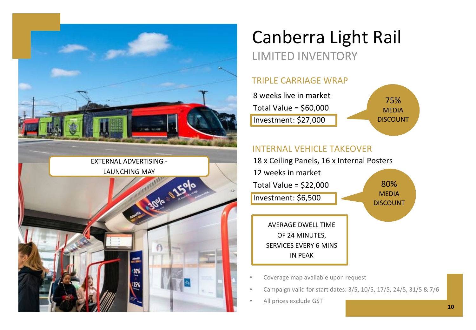

### Canberra Light Rail LIMITED INVENTORY

#### TRIPLE CARRIAGE WRAP

| 8 weeks live in market |                 |
|------------------------|-----------------|
|                        | 75%             |
| Total Value = \$60,000 | MEDIA           |
| Investment: \$27,000   | <b>DISCOUNT</b> |
|                        |                 |

#### INTERNAL VEHICLE TAKEOVER



IN PEAK

- Coverage map available upon request
- Campaign valid for start dates: 3/5, 10/5, 17/5, 24/5, 31/5 & 7/6
- All prices exclude GST